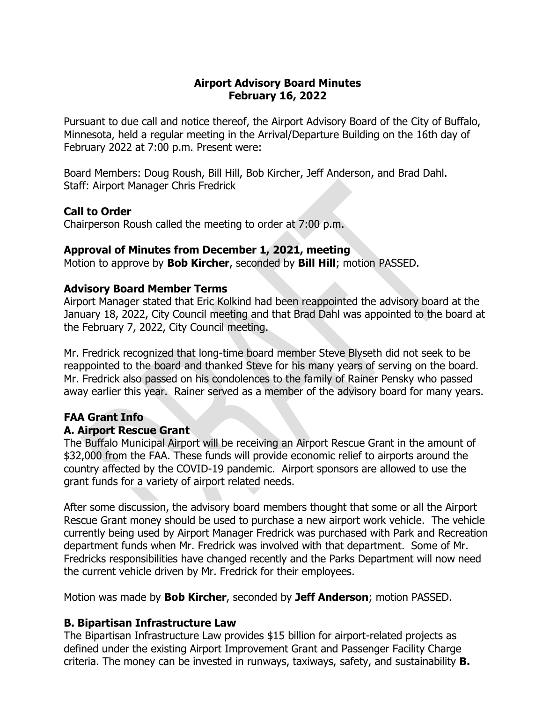## **Airport Advisory Board Minutes February 16, 2022**

Pursuant to due call and notice thereof, the Airport Advisory Board of the City of Buffalo, Minnesota, held a regular meeting in the Arrival/Departure Building on the 16th day of February 2022 at 7:00 p.m. Present were:

Board Members: Doug Roush, Bill Hill, Bob Kircher, Jeff Anderson, and Brad Dahl. Staff: Airport Manager Chris Fredrick

### **Call to Order**

Chairperson Roush called the meeting to order at 7:00 p.m.

### **Approval of Minutes from December 1, 2021, meeting**

Motion to approve by **Bob Kircher**, seconded by **Bill Hill**; motion PASSED.

### **Advisory Board Member Terms**

Airport Manager stated that Eric Kolkind had been reappointed the advisory board at the January 18, 2022, City Council meeting and that Brad Dahl was appointed to the board at the February 7, 2022, City Council meeting.

Mr. Fredrick recognized that long-time board member Steve Blyseth did not seek to be reappointed to the board and thanked Steve for his many years of serving on the board. Mr. Fredrick also passed on his condolences to the family of Rainer Pensky who passed away earlier this year. Rainer served as a member of the advisory board for many years.

### **FAA Grant Info**

### **A. Airport Rescue Grant**

The Buffalo Municipal Airport will be receiving an Airport Rescue Grant in the amount of \$32,000 from the FAA. These funds will provide economic relief to airports around the country affected by the COVID-19 pandemic. Airport sponsors are allowed to use the grant funds for a variety of airport related needs.

After some discussion, the advisory board members thought that some or all the Airport Rescue Grant money should be used to purchase a new airport work vehicle. The vehicle currently being used by Airport Manager Fredrick was purchased with Park and Recreation department funds when Mr. Fredrick was involved with that department. Some of Mr. Fredricks responsibilities have changed recently and the Parks Department will now need the current vehicle driven by Mr. Fredrick for their employees.

Motion was made by **Bob Kircher**, seconded by **Jeff Anderson**; motion PASSED.

### **B. Bipartisan Infrastructure Law**

The Bipartisan Infrastructure Law provides \$15 billion for airport-related projects as defined under the existing Airport Improvement Grant and Passenger Facility Charge criteria. The money can be invested in runways, taxiways, safety, and sustainability **B.**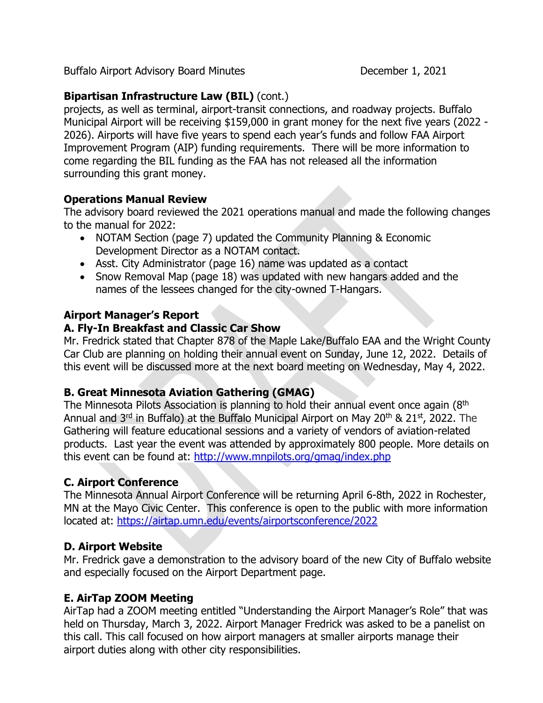Buffalo Airport Advisory Board Minutes **December 1, 2021** 

# **Bipartisan Infrastructure Law (BIL)** (cont.)

projects, as well as terminal, airport-transit connections, and roadway projects. Buffalo Municipal Airport will be receiving \$159,000 in grant money for the next five years (2022 - 2026). Airports will have five years to spend each year's funds and follow FAA Airport Improvement Program (AIP) funding requirements. There will be more information to come regarding the BIL funding as the FAA has not released all the information surrounding this grant money.

## **Operations Manual Review**

The advisory board reviewed the 2021 operations manual and made the following changes to the manual for 2022:

- NOTAM Section (page 7) updated the Community Planning & Economic Development Director as a NOTAM contact.
- Asst. City Administrator (page 16) name was updated as a contact
- Snow Removal Map (page 18) was updated with new hangars added and the names of the lessees changed for the city-owned T-Hangars.

## **Airport Manager's Report**

## **A. Fly-In Breakfast and Classic Car Show**

Mr. Fredrick stated that Chapter 878 of the Maple Lake/Buffalo EAA and the Wright County Car Club are planning on holding their annual event on Sunday, June 12, 2022. Details of this event will be discussed more at the next board meeting on Wednesday, May 4, 2022.

### **B. Great Minnesota Aviation Gathering (GMAG)**

The Minnesota Pilots Association is planning to hold their annual event once again  $(8<sup>th</sup>)$ Annual and  $3^{rd}$  in Buffalo) at the Buffalo Municipal Airport on May 20<sup>th</sup> & 21<sup>st</sup>, 2022. The Gathering will feature educational sessions and a variety of vendors of aviation-related products. Last year the event was attended by approximately 800 people. More details on this event can be found at:<http://www.mnpilots.org/gmag/index.php>

### **C. Airport Conference**

The Minnesota Annual Airport Conference will be returning April 6-8th, 2022 in Rochester, MN at the Mayo Civic Center. This conference is open to the public with more information located at:<https://airtap.umn.edu/events/airportsconference/2022>

### **D. Airport Website**

Mr. Fredrick gave a demonstration to the advisory board of the new City of Buffalo website and especially focused on the Airport Department page.

### **E. AirTap ZOOM Meeting**

AirTap had a ZOOM meeting entitled "Understanding the Airport Manager's Role" that was held on Thursday, March 3, 2022. Airport Manager Fredrick was asked to be a panelist on this call. This call focused on how airport managers at smaller airports manage their airport duties along with other city responsibilities.